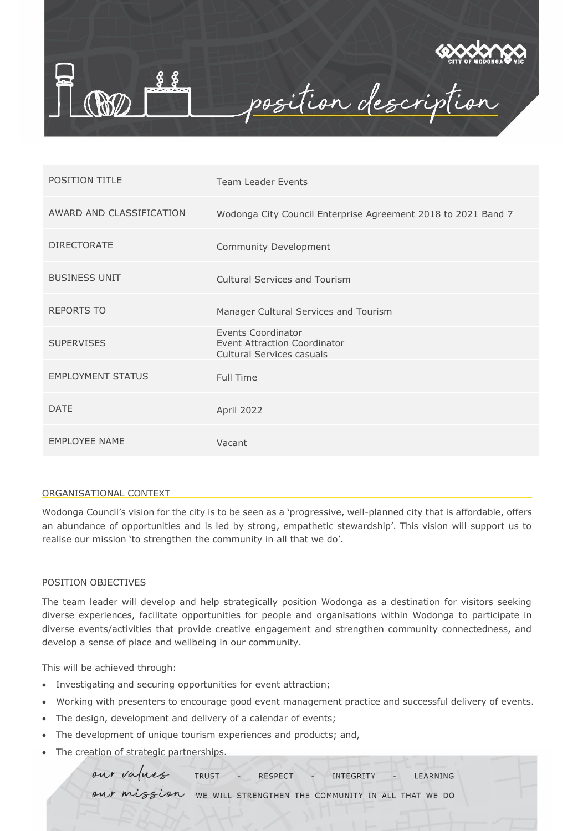

| <b>POSITION TITLE</b>    | <b>Team Leader Events</b>                                                                     |
|--------------------------|-----------------------------------------------------------------------------------------------|
| AWARD AND CLASSIFICATION | Wodonga City Council Enterprise Agreement 2018 to 2021 Band 7                                 |
| <b>DIRECTORATE</b>       | Community Development                                                                         |
| <b>BUSINESS UNIT</b>     | <b>Cultural Services and Tourism</b>                                                          |
| <b>REPORTS TO</b>        | Manager Cultural Services and Tourism                                                         |
| <b>SUPERVISES</b>        | Events Coordinator<br><b>Event Attraction Coordinator</b><br><b>Cultural Services casuals</b> |
| <b>EMPLOYMENT STATUS</b> | Full Time                                                                                     |
| <b>DATE</b>              | April 2022                                                                                    |
| <b>EMPLOYEE NAME</b>     | Vacant                                                                                        |

## ORGANISATIONAL CONTEXT

Wodonga Council's vision for the city is to be seen as a 'progressive, well-planned city that is affordable, offers an abundance of opportunities and is led by strong, empathetic stewardship'. This vision will support us to realise our mission 'to strengthen the community in all that we do'.

## POSITION OBJECTIVES

The team leader will develop and help strategically position Wodonga as a destination for visitors seeking diverse experiences, facilitate opportunities for people and organisations within Wodonga to participate in diverse events/activities that provide creative engagement and strengthen community connectedness, and develop a sense of place and wellbeing in our community.

This will be achieved through:

- Investigating and securing opportunities for event attraction;
- Working with presenters to encourage good event management practice and successful delivery of events.
- The design, development and delivery of a calendar of events;
- The development of unique tourism experiences and products; and,
- The creation of strategic partnerships.

our values TRUST **RESPECT** INTEGRITY LEARNING our mission WE WILL STRENGTHEN THE COMMUNITY IN ALL THAT WE DO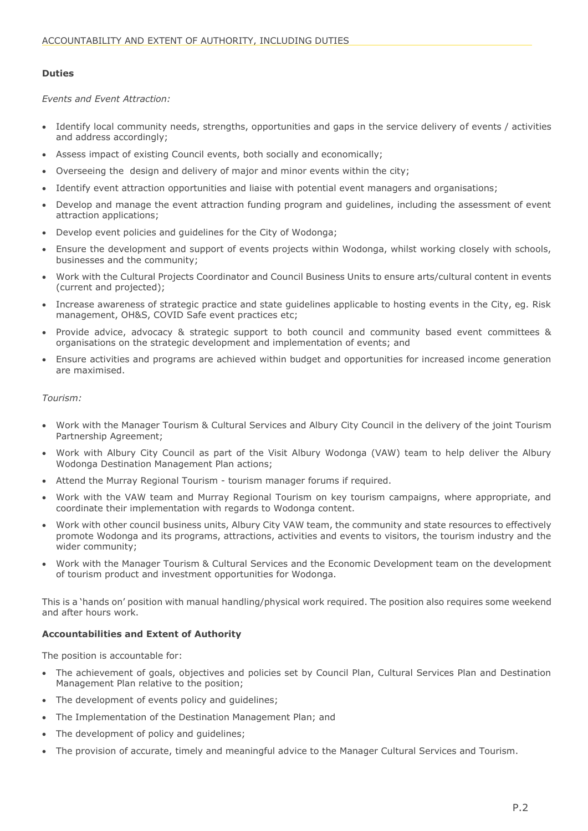# **Duties**

*Events and Event Attraction:*

- Identify local community needs, strengths, opportunities and gaps in the service delivery of events / activities and address accordingly;
- Assess impact of existing Council events, both socially and economically;
- Overseeing the design and delivery of major and minor events within the city;
- Identify event attraction opportunities and liaise with potential event managers and organisations;
- Develop and manage the event attraction funding program and guidelines, including the assessment of event attraction applications;
- Develop event policies and guidelines for the City of Wodonga;
- Ensure the development and support of events projects within Wodonga, whilst working closely with schools, businesses and the community;
- Work with the Cultural Projects Coordinator and Council Business Units to ensure arts/cultural content in events (current and projected);
- Increase awareness of strategic practice and state guidelines applicable to hosting events in the City, eg. Risk management, OH&S, COVID Safe event practices etc;
- Provide advice, advocacy & strategic support to both council and community based event committees & organisations on the strategic development and implementation of events; and
- Ensure activities and programs are achieved within budget and opportunities for increased income generation are maximised.

# *Tourism:*

- Work with the Manager Tourism & Cultural Services and Albury City Council in the delivery of the joint Tourism Partnership Agreement;
- Work with Albury City Council as part of the Visit Albury Wodonga (VAW) team to help deliver the Albury Wodonga Destination Management Plan actions;
- Attend the Murray Regional Tourism tourism manager forums if required.
- Work with the VAW team and Murray Regional Tourism on key tourism campaigns, where appropriate, and coordinate their implementation with regards to Wodonga content.
- Work with other council business units, Albury City VAW team, the community and state resources to effectively promote Wodonga and its programs, attractions, activities and events to visitors, the tourism industry and the wider community;
- Work with the Manager Tourism & Cultural Services and the Economic Development team on the development of tourism product and investment opportunities for Wodonga.

This is a 'hands on' position with manual handling/physical work required. The position also requires some weekend and after hours work.

# **Accountabilities and Extent of Authority**

The position is accountable for:

- The achievement of goals, objectives and policies set by Council Plan, Cultural Services Plan and Destination Management Plan relative to the position;
- The development of events policy and guidelines;
- The Implementation of the Destination Management Plan; and
- The development of policy and guidelines;
- The provision of accurate, timely and meaningful advice to the Manager Cultural Services and Tourism.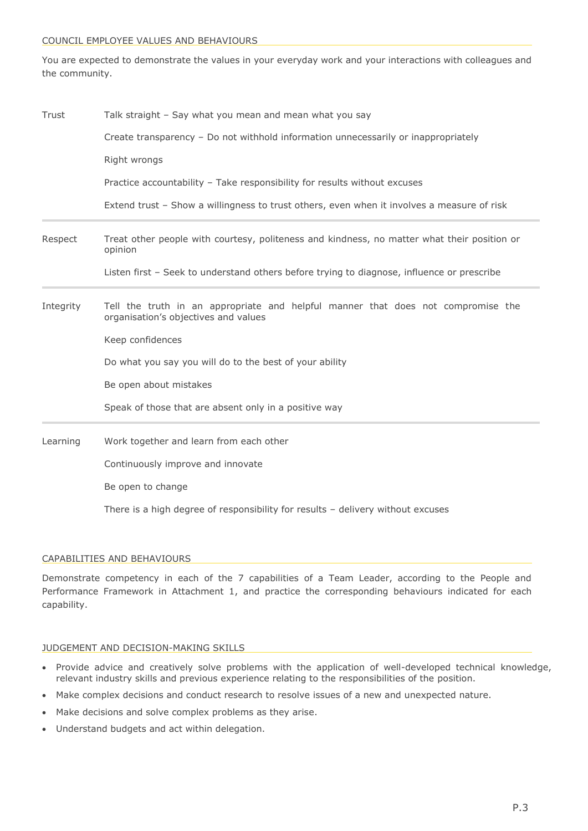#### COUNCIL EMPLOYEE VALUES AND BEHAVIOURS

You are expected to demonstrate the values in your everyday work and your interactions with colleagues and the community.

| Trust     | Talk straight - Say what you mean and mean what you say                                                                  |
|-----------|--------------------------------------------------------------------------------------------------------------------------|
|           | Create transparency - Do not withhold information unnecessarily or inappropriately                                       |
|           | Right wrongs                                                                                                             |
|           | Practice accountability - Take responsibility for results without excuses                                                |
|           | Extend trust - Show a willingness to trust others, even when it involves a measure of risk                               |
| Respect   | Treat other people with courtesy, politeness and kindness, no matter what their position or<br>opinion                   |
|           | Listen first - Seek to understand others before trying to diagnose, influence or prescribe                               |
| Integrity | Tell the truth in an appropriate and helpful manner that does not compromise the<br>organisation's objectives and values |
|           | Keep confidences                                                                                                         |
|           | Do what you say you will do to the best of your ability                                                                  |
|           | Be open about mistakes                                                                                                   |
|           | Speak of those that are absent only in a positive way                                                                    |
| Learning  | Work together and learn from each other                                                                                  |
|           | Continuously improve and innovate                                                                                        |

Be open to change

There is a high degree of responsibility for results – delivery without excuses

## CAPABILITIES AND BEHAVIOURS

Demonstrate competency in each of the 7 capabilities of a Team Leader, according to the People and Performance Framework in Attachment 1, and practice the corresponding behaviours indicated for each capability.

## JUDGEMENT AND DECISION-MAKING SKILLS

- Provide advice and creatively solve problems with the application of well-developed technical knowledge, relevant industry skills and previous experience relating to the responsibilities of the position.
- Make complex decisions and conduct research to resolve issues of a new and unexpected nature.
- Make decisions and solve complex problems as they arise.
- Understand budgets and act within delegation.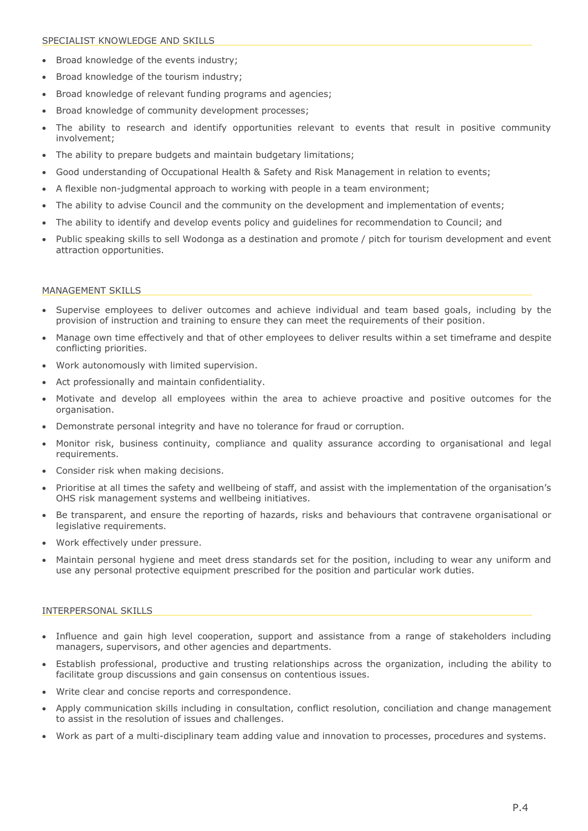## SPECIALIST KNOWLEDGE AND SKILLS

- Broad knowledge of the events industry;
- Broad knowledge of the tourism industry;
- Broad knowledge of relevant funding programs and agencies;
- Broad knowledge of community development processes;
- The ability to research and identify opportunities relevant to events that result in positive community involvement;
- The ability to prepare budgets and maintain budgetary limitations;
- Good understanding of Occupational Health & Safety and Risk Management in relation to events;
- A flexible non-judgmental approach to working with people in a team environment;
- The ability to advise Council and the community on the development and implementation of events;
- The ability to identify and develop events policy and guidelines for recommendation to Council; and
- Public speaking skills to sell Wodonga as a destination and promote / pitch for tourism development and event attraction opportunities.

## MANAGEMENT SKILLS

- Supervise employees to deliver outcomes and achieve individual and team based goals, including by the provision of instruction and training to ensure they can meet the requirements of their position.
- Manage own time effectively and that of other employees to deliver results within a set timeframe and despite conflicting priorities.
- Work autonomously with limited supervision.
- Act professionally and maintain confidentiality.
- Motivate and develop all employees within the area to achieve proactive and positive outcomes for the organisation.
- Demonstrate personal integrity and have no tolerance for fraud or corruption.
- Monitor risk, business continuity, compliance and quality assurance according to organisational and legal requirements.
- Consider risk when making decisions.
- Prioritise at all times the safety and wellbeing of staff, and assist with the implementation of the organisation's OHS risk management systems and wellbeing initiatives.
- Be transparent, and ensure the reporting of hazards, risks and behaviours that contravene organisational or legislative requirements.
- Work effectively under pressure.
- Maintain personal hygiene and meet dress standards set for the position, including to wear any uniform and use any personal protective equipment prescribed for the position and particular work duties.

## INTERPERSONAL SKILLS

- Influence and gain high level cooperation, support and assistance from a range of stakeholders including managers, supervisors, and other agencies and departments.
- Establish professional, productive and trusting relationships across the organization, including the ability to facilitate group discussions and gain consensus on contentious issues.
- Write clear and concise reports and correspondence.
- Apply communication skills including in consultation, conflict resolution, conciliation and change management to assist in the resolution of issues and challenges.
- Work as part of a multi-disciplinary team adding value and innovation to processes, procedures and systems.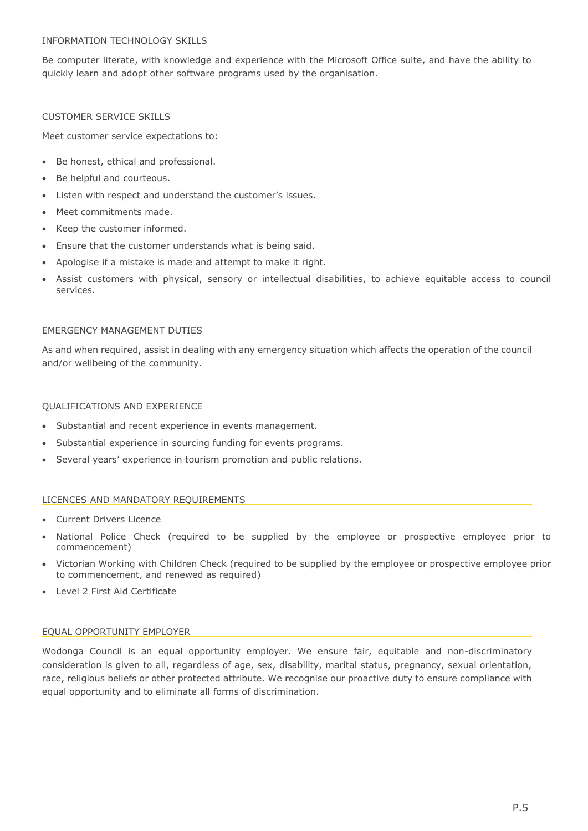Be computer literate, with knowledge and experience with the Microsoft Office suite, and have the ability to quickly learn and adopt other software programs used by the organisation.

# CUSTOMER SERVICE SKILLS

Meet customer service expectations to:

- Be honest, ethical and professional.
- Be helpful and courteous.
- Listen with respect and understand the customer's issues.
- Meet commitments made.
- Keep the customer informed.
- Ensure that the customer understands what is being said.
- Apologise if a mistake is made and attempt to make it right.
- Assist customers with physical, sensory or intellectual disabilities, to achieve equitable access to council services.

#### EMERGENCY MANAGEMENT DUTIES

As and when required, assist in dealing with any emergency situation which affects the operation of the council and/or wellbeing of the community.

#### QUALIFICATIONS AND EXPERIENCE

- Substantial and recent experience in events management.
- Substantial experience in sourcing funding for events programs.
- Several years' experience in tourism promotion and public relations.

## LICENCES AND MANDATORY REQUIREMENTS

- Current Drivers Licence
- National Police Check (required to be supplied by the employee or prospective employee prior to commencement)
- Victorian Working with Children Check (required to be supplied by the employee or prospective employee prior to commencement, and renewed as required)
- Level 2 First Aid Certificate

## EQUAL OPPORTUNITY EMPLOYER

Wodonga Council is an equal opportunity employer. We ensure fair, equitable and non-discriminatory consideration is given to all, regardless of age, sex, disability, marital status, pregnancy, sexual orientation, race, religious beliefs or other protected attribute. We recognise our proactive duty to ensure compliance with equal opportunity and to eliminate all forms of discrimination.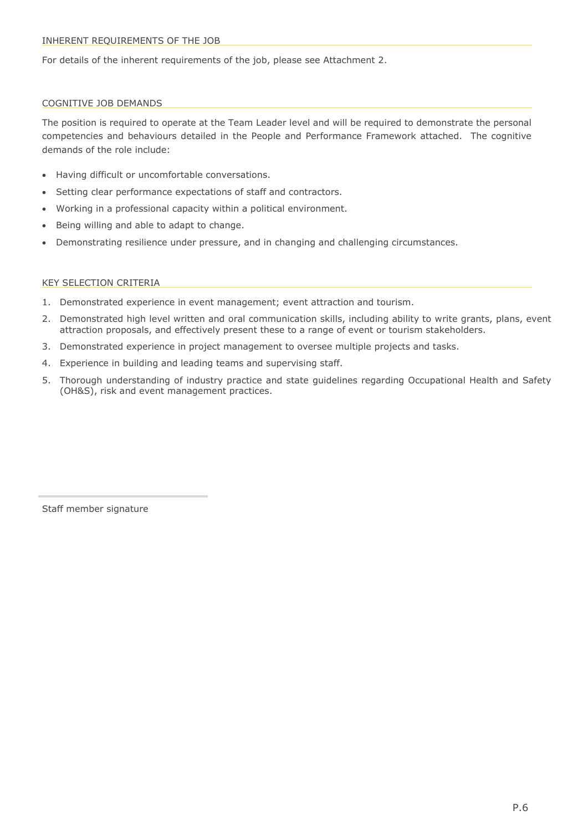For details of the inherent requirements of the job, please see Attachment 2.

# COGNITIVE JOB DEMANDS

The position is required to operate at the Team Leader level and will be required to demonstrate the personal competencies and behaviours detailed in the People and Performance Framework attached. The cognitive demands of the role include:

- Having difficult or uncomfortable conversations.
- Setting clear performance expectations of staff and contractors.
- Working in a professional capacity within a political environment.
- Being willing and able to adapt to change.
- Demonstrating resilience under pressure, and in changing and challenging circumstances.

# KEY SELECTION CRITERIA

- 1. Demonstrated experience in event management; event attraction and tourism.
- 2. Demonstrated high level written and oral communication skills, including ability to write grants, plans, event attraction proposals, and effectively present these to a range of event or tourism stakeholders.
- 3. Demonstrated experience in project management to oversee multiple projects and tasks.
- 4. Experience in building and leading teams and supervising staff.
- 5. Thorough understanding of industry practice and state guidelines regarding Occupational Health and Safety (OH&S), risk and event management practices.

Staff member signature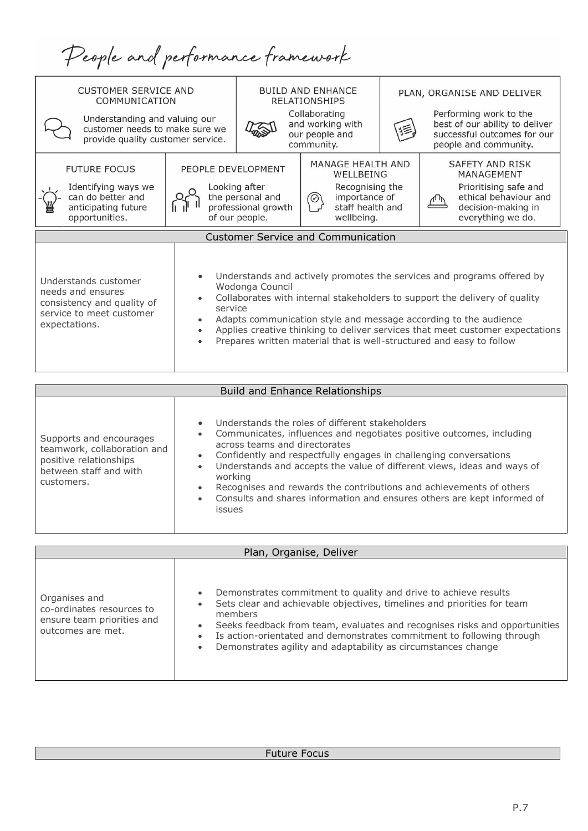People and performance framework

| <b>CUSTOMER SERVICE AND</b><br>COMMUNICATION<br>Understanding and valuing our<br>customer needs to make sure we<br>provide quality customer service. | <b>BUILD AND ENHANCE</b><br><b>RELATIONSHIPS</b><br>Collaborating<br>and working with<br>our people and<br>community. |                                                                            | PLAN, ORGANISE AND DELIVER<br>Performing work to the<br>best of our ability to deliver<br>successful outcomes for our<br>people and community. |  |                                                                                                                                                                                                                                                                                                                                                                                   |
|------------------------------------------------------------------------------------------------------------------------------------------------------|-----------------------------------------------------------------------------------------------------------------------|----------------------------------------------------------------------------|------------------------------------------------------------------------------------------------------------------------------------------------|--|-----------------------------------------------------------------------------------------------------------------------------------------------------------------------------------------------------------------------------------------------------------------------------------------------------------------------------------------------------------------------------------|
| PEOPLE DEVELOPMENT<br><b>FUTURE FOCUS</b><br>Identifying ways we<br>can do better and<br>anticipating future<br>opportunities.                       |                                                                                                                       | Looking after<br>the personal and<br>professional growth<br>of our people. | MANAGE HEALTH AND<br>WELLBEING<br>Recognising the<br>importance of<br>⊘<br>staff health and<br>wellbeing.                                      |  | SAFETY AND RISK<br>MANAGEMENT<br>Prioritising safe and<br>ethical behaviour and<br>decision-making in<br>everything we do.                                                                                                                                                                                                                                                        |
|                                                                                                                                                      |                                                                                                                       |                                                                            | <b>Customer Service and Communication</b>                                                                                                      |  |                                                                                                                                                                                                                                                                                                                                                                                   |
| Understands customer<br>needs and ensures<br>consistency and quality of<br>service<br>service to meet customer<br>expectations.                      |                                                                                                                       | Wodonga Council                                                            |                                                                                                                                                |  | Understands and actively promotes the services and programs offered by<br>Collaborates with internal stakeholders to support the delivery of quality<br>Adapts communication style and message according to the audience<br>Applies creative thinking to deliver services that meet customer expectations<br>Prepares written material that is well-structured and easy to follow |

| <b>Build and Enhance Relationships</b>                                                                                   |                                                                                                                                                                                                                                                                                                                                                                                                                                                                                              |  |  |  |  |  |
|--------------------------------------------------------------------------------------------------------------------------|----------------------------------------------------------------------------------------------------------------------------------------------------------------------------------------------------------------------------------------------------------------------------------------------------------------------------------------------------------------------------------------------------------------------------------------------------------------------------------------------|--|--|--|--|--|
| Supports and encourages<br>teamwork, collaboration and<br>positive relationships<br>between staff and with<br>customers. | Understands the roles of different stakeholders<br>Communicates, influences and negotiates positive outcomes, including<br>across teams and directorates<br>Confidently and respectfully engages in challenging conversations<br>Understands and accepts the value of different views, ideas and ways of<br>$\bullet$<br>working<br>Recognises and rewards the contributions and achievements of others<br>Consults and shares information and ensures others are kept informed of<br>issues |  |  |  |  |  |

| Plan, Organise, Deliver                                                                       |                                                                                                                                                                                                                                                                                                                                                                               |  |  |  |  |
|-----------------------------------------------------------------------------------------------|-------------------------------------------------------------------------------------------------------------------------------------------------------------------------------------------------------------------------------------------------------------------------------------------------------------------------------------------------------------------------------|--|--|--|--|
| Organises and<br>co-ordinates resources to<br>ensure team priorities and<br>outcomes are met. | Demonstrates commitment to quality and drive to achieve results<br>Sets clear and achievable objectives, timelines and priorities for team<br>members<br>Seeks feedback from team, evaluates and recognises risks and opportunities<br>Is action-orientated and demonstrates commitment to following through<br>Demonstrates agility and adaptability as circumstances change |  |  |  |  |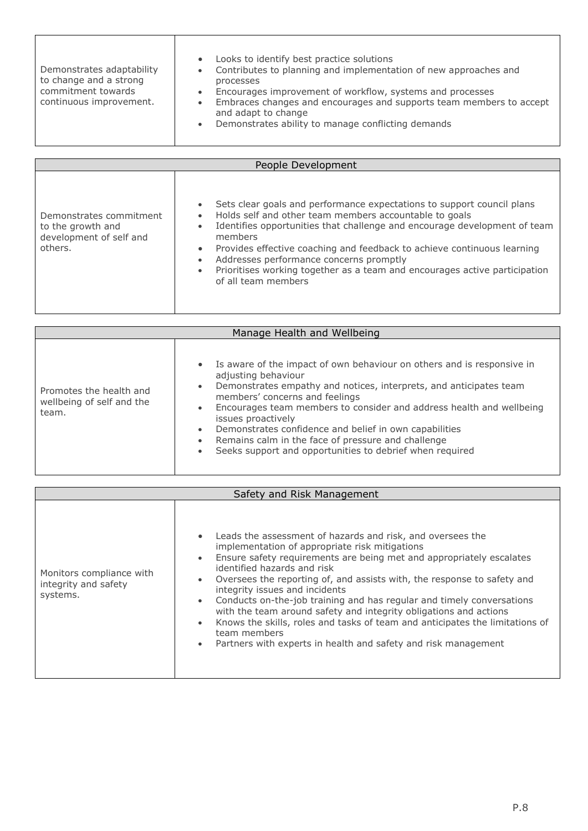| Demonstrates adaptability<br>to change and a strong<br>commitment towards<br>continuous improvement. | Looks to identify best practice solutions<br>$\bullet$<br>Contributes to planning and implementation of new approaches and<br>$\bullet$<br>processes<br>Encourages improvement of workflow, systems and processes<br>$\bullet$<br>Embraces changes and encourages and supports team members to accept<br>$\bullet$<br>and adapt to change<br>Demonstrates ability to manage conflicting demands<br>$\bullet$ |  |  |  |  |
|------------------------------------------------------------------------------------------------------|--------------------------------------------------------------------------------------------------------------------------------------------------------------------------------------------------------------------------------------------------------------------------------------------------------------------------------------------------------------------------------------------------------------|--|--|--|--|
| People Development                                                                                   |                                                                                                                                                                                                                                                                                                                                                                                                              |  |  |  |  |

| Demonstrates commitment<br>to the growth and<br>development of self and<br>others. | Sets clear goals and performance expectations to support council plans<br>$\bullet$<br>Holds self and other team members accountable to goals<br>$\bullet$<br>Identifies opportunities that challenge and encourage development of team<br>$\bullet$<br>members<br>Provides effective coaching and feedback to achieve continuous learning<br>$\bullet$<br>Addresses performance concerns promptly<br>$\bullet$<br>Prioritises working together as a team and encourages active participation<br>$\bullet$<br>of all team members |
|------------------------------------------------------------------------------------|-----------------------------------------------------------------------------------------------------------------------------------------------------------------------------------------------------------------------------------------------------------------------------------------------------------------------------------------------------------------------------------------------------------------------------------------------------------------------------------------------------------------------------------|
|------------------------------------------------------------------------------------|-----------------------------------------------------------------------------------------------------------------------------------------------------------------------------------------------------------------------------------------------------------------------------------------------------------------------------------------------------------------------------------------------------------------------------------------------------------------------------------------------------------------------------------|

| Manage Health and Wellbeing                                   |                                                                                                                                                                                                                                                                                                                                                                                                                                                                                                                                                    |  |  |  |  |
|---------------------------------------------------------------|----------------------------------------------------------------------------------------------------------------------------------------------------------------------------------------------------------------------------------------------------------------------------------------------------------------------------------------------------------------------------------------------------------------------------------------------------------------------------------------------------------------------------------------------------|--|--|--|--|
| Promotes the health and<br>wellbeing of self and the<br>team. | • Is aware of the impact of own behaviour on others and is responsive in<br>adjusting behaviour<br>Demonstrates empathy and notices, interprets, and anticipates team<br>$\bullet$<br>members' concerns and feelings<br>Encourages team members to consider and address health and wellbeing<br>$\bullet$<br>issues proactively<br>Demonstrates confidence and belief in own capabilities<br>$\bullet$<br>Remains calm in the face of pressure and challenge<br>$\bullet$<br>Seeks support and opportunities to debrief when required<br>$\bullet$ |  |  |  |  |

| Safety and Risk Management                                   |                                                                                                                                                                                                                                                                                                                                                                                                                                                                                                                                                                                                                                                                                                                                |  |  |  |  |
|--------------------------------------------------------------|--------------------------------------------------------------------------------------------------------------------------------------------------------------------------------------------------------------------------------------------------------------------------------------------------------------------------------------------------------------------------------------------------------------------------------------------------------------------------------------------------------------------------------------------------------------------------------------------------------------------------------------------------------------------------------------------------------------------------------|--|--|--|--|
| Monitors compliance with<br>integrity and safety<br>systems. | Leads the assessment of hazards and risk, and oversees the<br>$\bullet$<br>implementation of appropriate risk mitigations<br>Ensure safety requirements are being met and appropriately escalates<br>$\bullet$<br>identified hazards and risk<br>Oversees the reporting of, and assists with, the response to safety and<br>$\bullet$<br>integrity issues and incidents<br>Conducts on-the-job training and has regular and timely conversations<br>$\bullet$<br>with the team around safety and integrity obligations and actions<br>Knows the skills, roles and tasks of team and anticipates the limitations of<br>$\bullet$<br>team members<br>Partners with experts in health and safety and risk management<br>$\bullet$ |  |  |  |  |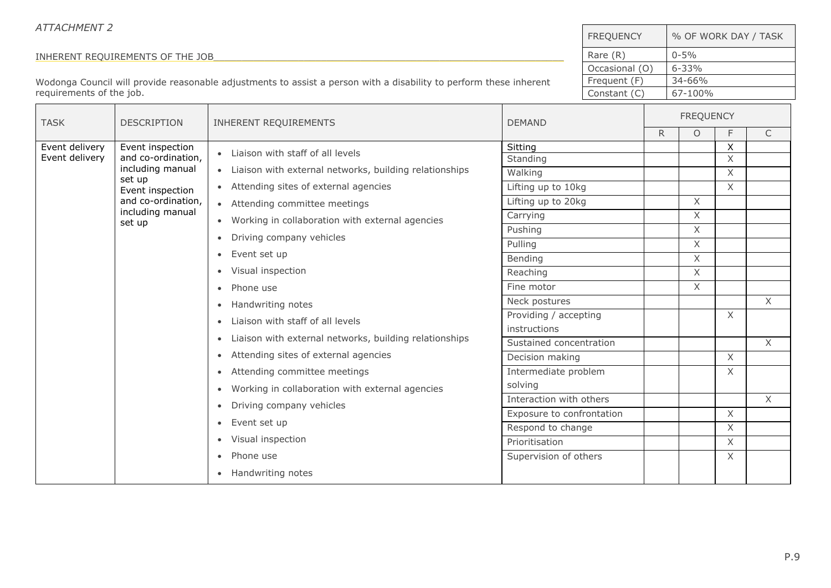| <b>ATTACHMENT 2</b>              |                                        |                                                                                                                    |                                 | <b>FREQUENCY</b>          |               |                  |                           | % OF WORK DAY / TASK |  |
|----------------------------------|----------------------------------------|--------------------------------------------------------------------------------------------------------------------|---------------------------------|---------------------------|---------------|------------------|---------------------------|----------------------|--|
| INHERENT REQUIREMENTS OF THE JOB |                                        |                                                                                                                    | Rare (R)                        |                           | $0 - 5%$      |                  |                           |                      |  |
|                                  |                                        |                                                                                                                    | Occasional (O)                  |                           | $6 - 33%$     |                  |                           |                      |  |
|                                  |                                        | Wodonga Council will provide reasonable adjustments to assist a person with a disability to perform these inherent |                                 | Frequent (F)              |               | 34-66%           |                           |                      |  |
| requirements of the job.         |                                        |                                                                                                                    |                                 | Constant (C)              |               | 67-100%          |                           |                      |  |
| <b>TASK</b>                      | <b>DESCRIPTION</b>                     | <b>INHERENT REQUIREMENTS</b><br><b>DEMAND</b>                                                                      |                                 |                           |               | <b>FREQUENCY</b> |                           |                      |  |
|                                  |                                        |                                                                                                                    |                                 |                           | R.            | $\circ$          | F                         | $\mathsf{C}$         |  |
| Event delivery<br>Event delivery | Event inspection<br>and co-ordination, | Liaison with staff of all levels                                                                                   | Sitting                         |                           |               |                  | $\boldsymbol{\mathsf{X}}$ |                      |  |
|                                  | including manual                       | Liaison with external networks, building relationships<br>$\bullet$                                                | Standing<br>Walking             |                           |               |                  | X<br>$\times$             |                      |  |
|                                  | set up                                 | Attending sites of external agencies<br>$\bullet$                                                                  | Lifting up to 10kg              |                           |               |                  | $\mathsf X$               |                      |  |
|                                  | Event inspection<br>and co-ordination, | • Attending committee meetings                                                                                     | Lifting up to 20kg              |                           |               | X                |                           |                      |  |
|                                  | including manual                       |                                                                                                                    | Carrying                        |                           |               | $\mathsf X$      |                           |                      |  |
|                                  | set up                                 | Working in collaboration with external agencies<br>Driving company vehicles<br>$\bullet$                           | Pushing                         |                           |               | $\times$         |                           |                      |  |
|                                  |                                        |                                                                                                                    | Pulling                         |                           |               | $\times$         |                           |                      |  |
|                                  |                                        | Event set up<br>$\bullet$                                                                                          | Bending                         |                           |               | X                |                           |                      |  |
|                                  |                                        | Visual inspection                                                                                                  | Reaching                        |                           |               | $\times$         |                           |                      |  |
|                                  |                                        | Phone use<br>$\bullet$                                                                                             | Fine motor                      |                           |               | X                |                           |                      |  |
|                                  |                                        |                                                                                                                    |                                 | Handwriting notes         | Neck postures |                  |                           |                      |  |
|                                  |                                        | Liaison with staff of all levels                                                                                   | Providing / accepting           |                           |               |                  | $\times$                  |                      |  |
|                                  |                                        | Liaison with external networks, building relationships<br>$\bullet$                                                | instructions                    |                           |               |                  |                           |                      |  |
|                                  |                                        | Attending sites of external agencies                                                                               | Sustained concentration         |                           |               |                  |                           | $\chi$               |  |
|                                  |                                        |                                                                                                                    | Decision making                 |                           |               |                  | $\times$<br>$\times$      |                      |  |
|                                  |                                        | Attending committee meetings<br>$\bullet$                                                                          | Intermediate problem<br>solving |                           |               |                  |                           |                      |  |
|                                  |                                        | Working in collaboration with external agencies                                                                    | Interaction with others         |                           |               |                  |                           | $\mathsf{X}$         |  |
|                                  |                                        |                                                                                                                    | Driving company vehicles        | Exposure to confrontation |               |                  |                           | $\chi$               |  |
|                                  |                                        | Event set up<br>$\bullet$                                                                                          | Respond to change               |                           |               |                  | $\times$                  |                      |  |
|                                  |                                        | Visual inspection                                                                                                  | Prioritisation                  |                           |               |                  | $\times$                  |                      |  |
|                                  |                                        |                                                                                                                    | Phone use<br>$\bullet$          | Supervision of others     |               |                  |                           | X                    |  |
|                                  |                                        | Handwriting notes                                                                                                  |                                 |                           |               |                  |                           |                      |  |